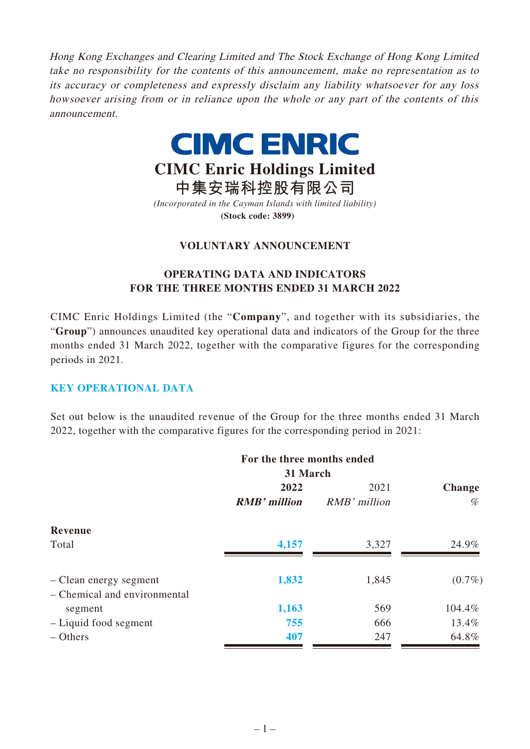Hong Kong Exchanges and Clearing Limited and The Stock Exchange of Hong Kong Limited take no responsibility for the contents of this announcement, make no representation as to its accuracy or completeness and expressly disclaim any liability whatsoever for any loss howsoever arising from or in reliance upon the whole or any part of the contents of this announcement.



# **CIMC Enric Holdings Limited**

**中集安瑞科控股有限公司** *(Incorporated in the Cayman Islands with limited liability)* **(Stock code: 3899)**

# **VOLUNTARY ANNOUNCEMENT**

# **OPERATING DATA AND INDICATORS FOR THE THREE MONTHS ENDED 31 MARCH 2022**

CIMC Enric Holdings Limited (the "**Company**", and together with its subsidiaries, the "**Group**") announces unaudited key operational data and indicators of the Group for the three months ended 31 March 2022, together with the comparative figures for the corresponding periods in 2021.

#### **KEY OPERATIONAL DATA**

Set out below is the unaudited revenue of the Group for the three months ended 31 March 2022, together with the comparative figures for the corresponding period in 2021:

|                                                        | For the three months ended |              |               |
|--------------------------------------------------------|----------------------------|--------------|---------------|
|                                                        | 31 March                   |              |               |
|                                                        | 2022                       | 2021         | <b>Change</b> |
|                                                        | <b>RMB</b> ' million       | RMB' million | %             |
| <b>Revenue</b>                                         |                            |              |               |
| Total                                                  | 4,157                      | 3,327        | 24.9%         |
| - Clean energy segment<br>- Chemical and environmental | 1,832                      | 1,845        | $(0.7\%)$     |
| segment                                                | 1,163                      | 569          | 104.4%        |
| - Liquid food segment                                  | 755                        | 666          | 13.4%         |
| $-$ Others                                             | 407                        | 247          | 64.8%         |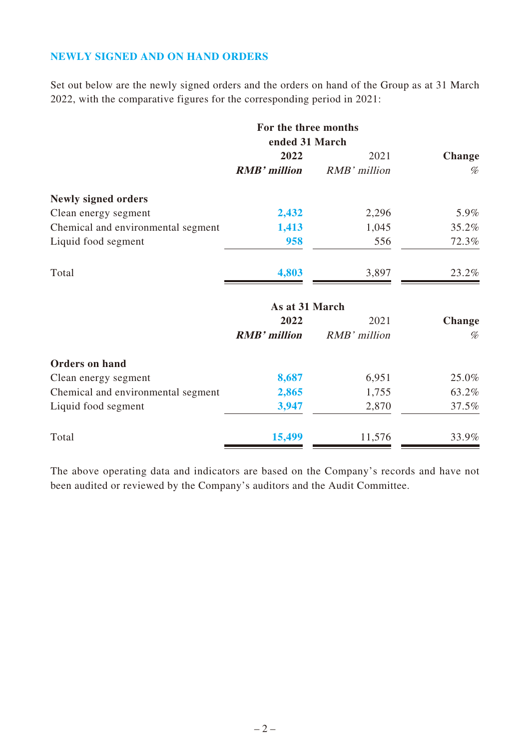## **NEWLY SIGNED AND ON HAND ORDERS**

Set out below are the newly signed orders and the orders on hand of the Group as at 31 March 2022, with the comparative figures for the corresponding period in 2021:

|                                    | For the three months |              |               |
|------------------------------------|----------------------|--------------|---------------|
|                                    | ended 31 March       |              |               |
|                                    | 2022                 | 2021         | <b>Change</b> |
|                                    | <b>RMB'</b> million  | RMB' million | %             |
| <b>Newly signed orders</b>         |                      |              |               |
| Clean energy segment               | 2,432                | 2,296        | 5.9%          |
| Chemical and environmental segment | 1,413                | 1,045        | 35.2%         |
| Liquid food segment                | 958                  | 556          | 72.3%         |
| Total                              | 4,803                | 3,897        | 23.2%         |
|                                    | As at 31 March       |              |               |
|                                    | 2022                 | 2021         | <b>Change</b> |
|                                    | <b>RMB</b> ' million | RMB' million | %             |
| <b>Orders on hand</b>              |                      |              |               |
| Clean energy segment               | 8,687                | 6,951        | 25.0%         |
| Chemical and environmental segment | 2,865                | 1,755        | 63.2%         |
| Liquid food segment                | 3,947                | 2,870        | 37.5%         |
| Total                              | 15,499               | 11,576       | 33.9%         |

The above operating data and indicators are based on the Company's records and have not been audited or reviewed by the Company's auditors and the Audit Committee.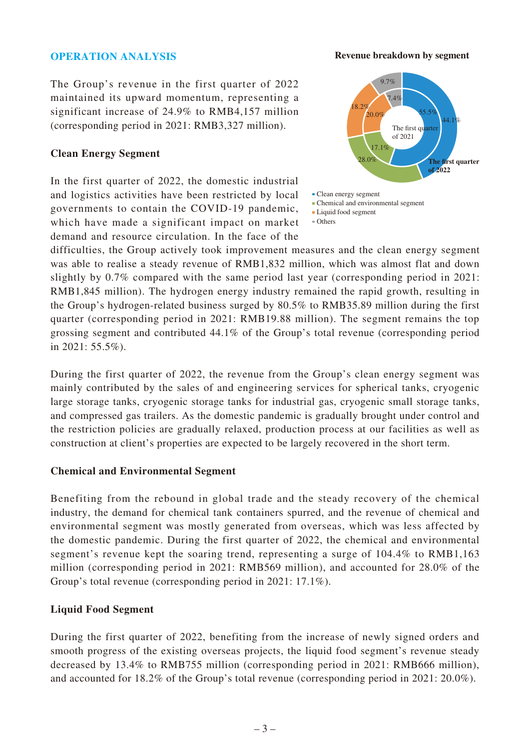#### **OPERATION ANALYSIS**

The Group's revenue in the first quarter of 2022 maintained its upward momentum, representing a significant increase of 24.9% to RMB4,157 million (corresponding period in 2021: RMB3,327 million).

#### **Clean Energy Segment**

In the first quarter of 2022, the domestic industrial and logistics activities have been restricted by local governments to contain the COVID-19 pandemic, which have made a significant impact on market demand and resource circulation. In the face of the





difficulties, the Group actively took improvement measures and the clean energy segment was able to realise a steady revenue of RMB1,832 million, which was almost flat and down slightly by 0.7% compared with the same period last year (corresponding period in 2021: RMB1,845 million). The hydrogen energy industry remained the rapid growth, resulting in the Group's hydrogen-related business surged by 80.5% to RMB35.89 million during the first quarter (corresponding period in 2021: RMB19.88 million). The segment remains the top grossing segment and contributed 44.1% of the Group's total revenue (corresponding period in 2021: 55.5%).

During the first quarter of 2022, the revenue from the Group's clean energy segment was mainly contributed by the sales of and engineering services for spherical tanks, cryogenic large storage tanks, cryogenic storage tanks for industrial gas, cryogenic small storage tanks, and compressed gas trailers. As the domestic pandemic is gradually brought under control and the restriction policies are gradually relaxed, production process at our facilities as well as construction at client's properties are expected to be largely recovered in the short term.

#### **Chemical and Environmental Segment**

Benefiting from the rebound in global trade and the steady recovery of the chemical industry, the demand for chemical tank containers spurred, and the revenue of chemical and environmental segment was mostly generated from overseas, which was less affected by the domestic pandemic. During the first quarter of 2022, the chemical and environmental segment's revenue kept the soaring trend, representing a surge of 104.4% to RMB1,163 million (corresponding period in 2021: RMB569 million), and accounted for 28.0% of the Group's total revenue (corresponding period in 2021: 17.1%).

#### **Liquid Food Segment**

During the first quarter of 2022, benefiting from the increase of newly signed orders and smooth progress of the existing overseas projects, the liquid food segment's revenue steady decreased by 13.4% to RMB755 million (corresponding period in 2021: RMB666 million), and accounted for 18.2% of the Group's total revenue (corresponding period in 2021: 20.0%).